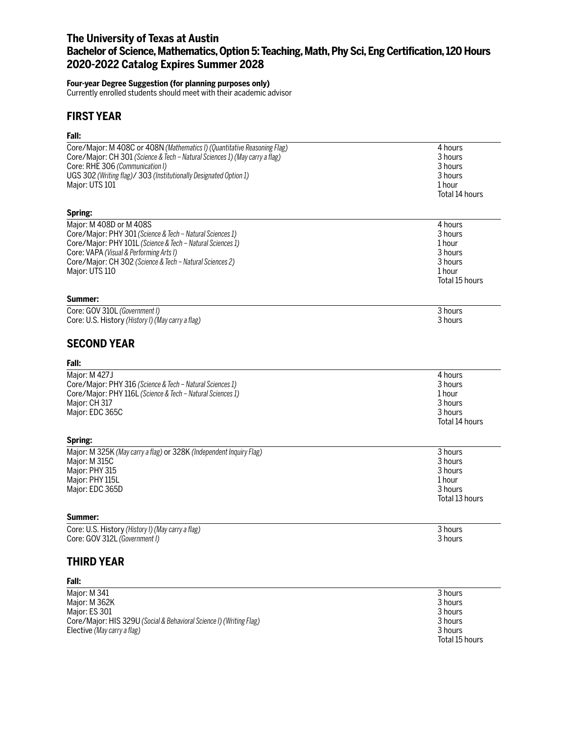# **The University of Texas at Austin Bachelor of Science, Mathematics, Option 5: Teaching, Math, Phy Sci, Eng Certification, 120 Hours 2020-2022 Catalog Expires Summer 2028**

### **Four-year Degree Suggestion (for planning purposes only)**

Currently enrolled students should meet with their academic advisor

# **FIRST YEAR**

## **Fall:**

| Core/Major: M 408C or 408N (Mathematics I) (Quantitative Reasoning Flag)    | 4 hours        |
|-----------------------------------------------------------------------------|----------------|
| Core/Major: CH 301 (Science & Tech - Natural Sciences 1) (May carry a flag) | 3 hours        |
| Core: RHE 306 (Communication I)                                             | 3 hours        |
| UGS 302 (Writing flag)/ 303 (Institutionally Designated Option 1)           | 3 hours        |
| Major: UTS 101                                                              | 1 hour         |
|                                                                             |                |
|                                                                             | Total 14 hours |
| Spring:                                                                     |                |
| Major: M 408D or M 408S                                                     | 4 hours        |
| Core/Major: PHY 301 (Science & Tech - Natural Sciences 1)                   | 3 hours        |
| Core/Major: PHY 101L (Science & Tech - Natural Sciences 1)                  | 1 hour         |
| Core: VAPA (Visual & Performing Arts I)                                     | 3 hours        |
| Core/Major: CH 302 (Science & Tech - Natural Sciences 2)                    | 3 hours        |
| Major: UTS 110                                                              | 1 hour         |
|                                                                             | Total 15 hours |
|                                                                             |                |
| Summer:                                                                     |                |
| Core: GOV 310L (Government I)                                               | 3 hours        |
| Core: U.S. History (History I) (May carry a flag)                           | 3 hours        |
| <b>SECOND YEAR</b>                                                          |                |
| Fall:                                                                       |                |
| Major: M 427J                                                               | 4 hours        |
| Core/Major: PHY 316 (Science & Tech - Natural Sciences 1)                   | 3 hours        |
| Core/Major: PHY 116L (Science & Tech - Natural Sciences 1)                  | 1 hour         |
| Major: CH 317                                                               | 3 hours        |
| Major: EDC 365C                                                             | 3 hours        |
|                                                                             | Total 14 hours |
|                                                                             |                |
| Spring:                                                                     |                |
| Major: M 325K (May carry a flag) or 328K (Independent Inquiry Flag)         | 3 hours        |
| Major: M 315C                                                               | 3 hours        |
| Major: PHY 315                                                              | 3 hours        |
| Major: PHY 115L                                                             | 1 hour         |
| Major: EDC 365D                                                             | 3 hours        |
|                                                                             | Total 13 hours |
| Summer:                                                                     |                |
| Core: U.S. History (History I) (May carry a flag)                           | 3 hours        |
| Core: GOV 312L (Government I)                                               | 3 hours        |
| <b>THIRD YEAR</b>                                                           |                |
| Fall:                                                                       |                |
| Major: M 341                                                                | 3 hours        |
| Major: M 362K                                                               | 3 hours        |
|                                                                             |                |

| <b>IVIAJUL. IVI 341</b>                                             | <b>JIUUIS</b> |
|---------------------------------------------------------------------|---------------|
| Major: M 362K                                                       | 3 hours       |
| Maior: ES 301                                                       | 3 hours       |
| Core/Maior: HIS 329U (Social & Behavioral Science I) (Writing Flag) | 3 hours       |
| Elective (May carry a flag)                                         | 3 hours       |

Total 15 hours